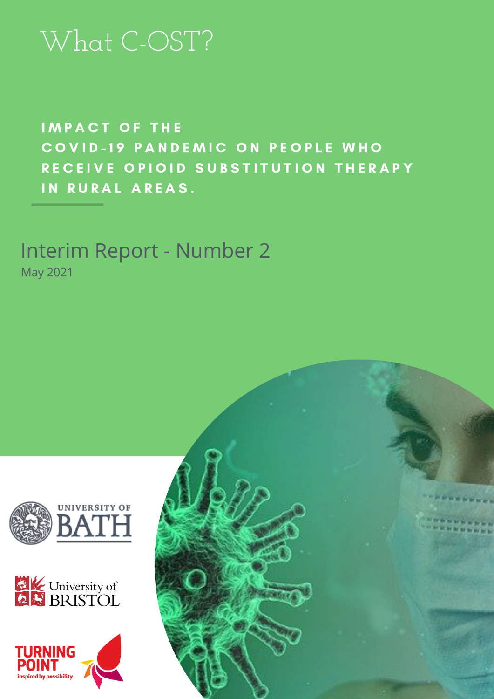# What C-OST?

IMPACT OF THE COVID-19 PANDEMIC ON PEOPLE WHO RECEIVE OPIOID SUBSTITUTION THERAPY IN RURAL AREAS.

Interim Report - Number 2 May 2021





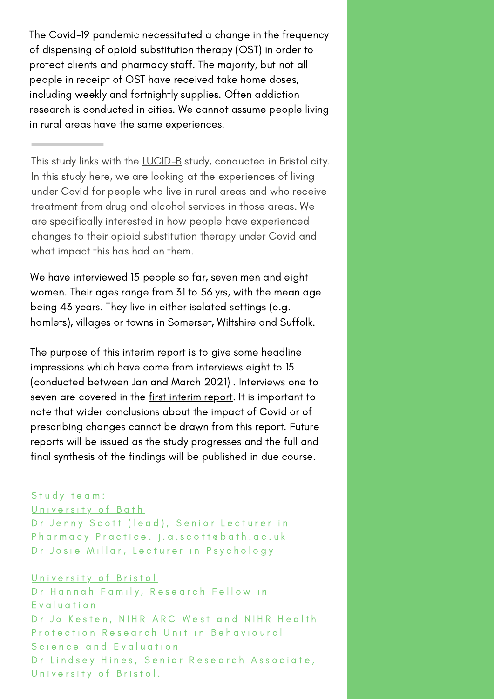The Covid-19 pandemic necessitated a change in the frequency of dispensing of opioid substitution therapy (OST) in order to protect clients and pharmacy staff. The majority, but not all people in receipt of OST have received take home doses, including weekly and fortnightly supplies. Often addiction research is conducted in cities. We cannot assume people living in rural areas have the same experiences.

This study links with the **[LUCID-B](https://arc-w.nihr.ac.uk/research/projects/understanding-the-experiences-of-people-who-inject-drugs-during-the-covid-19-pandemic/)** study, conducted in Bristol city. In this study here, we are looking at the experiences of living under Covid for people who live in rural areas and who receive treatment from drug and alcohol services in those areas. We are specifically interested in how people have experienced changes to their opioid substitution therapy under Covid and what impact this has had on them.

We have interviewed 15 people so far, seven men and eight women. Their ages range from 31 to 56 yrs, with the mean age being 43 years. They live in either isolated settings (e.g. hamlets), villages or towns in Somerset, Wiltshire and Suffolk.

The purpose of this interim report is to give some headline impressions which have come from interviews eight to 15 (conducted between Jan and March 2021) . Interviews one to seven are covered in the first [interim](https://arc-w.nihr.ac.uk/Wordpress/wp-content/uploads/2020/11/What-C-OST-First-Insights-Report-Nov-2020.pdf) report. It is important to note that wider conclusions about the impact of Covid or of prescribing changes cannot be drawn from this report. Future reports will be issued as the study progresses and the full and final synthesis of the findings will be published in due course.

## Study team:

# University of Bath

Dr Jenny Scott (lead), Senior Lecturer in Pharmacy Practice. j.a.scottebath.ac.uk Dr Josie Millar, Lecturer in Psychology

## University of Bristol

Dr Hannah Family, Research Fellow in E v a l u a t i o n Dr Jo Kesten, NIHR ARC West and NIHR Health Protection Research Unit in Behavioural Science and Evaluation Dr Lindsey Hines, Senior Research Associate, University of Bristol.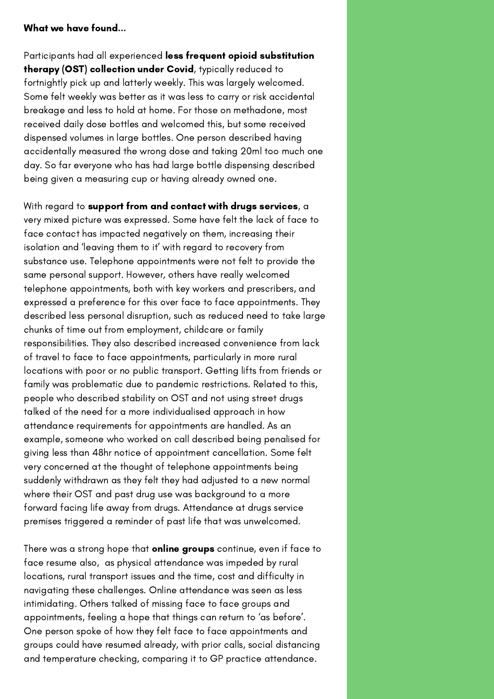#### What we have found...

Participants had all experienced less frequent opioid substitution therapy (OST) collection under Covid, typically reduced to fortnightly pick up and latterly weekly. This was largely welcomed. Some felt weekly was better as it was less to carry or risk accidental breakage and less to hold at home. For those on methadone, most received daily dose bottles and welcomed this, but some received dispensed volumes in large bottles. One person described having accidentally measured the wrong dose and taking 20ml too much one day. So far everyone who has had large bottle dispensing described being given a measuring cup or having already owned one.

With regard to support from and contact with drugs services, a very mixed picture was expressed. Some have felt the lack of face to face contact has impacted negatively on them, increasing their isolation and 'leaving them to it' with regard to recovery from substance use. Telephone appointments were not felt to provide the same personal support. However, others have really welcomed telephone appointments, both with key workers and prescribers, and expressed a preference for this over face to face appointments. They described less personal disruption, such as reduced need to take large chunks of time out from employment, childcare or family responsibilities. They also described increased convenience from lack of travel to face to face appointments, particularly in more rural locations with poor or no public transport. Getting lifts from friends or family was problematic due to pandemic restrictions. Related to this, people who described stability on OST and not using street drugs talked of the need for a more individualised approach in how attendance requirements for appointments are handled. As an example, someone who worked on call described being penalised for giving less than 48hr notice of appointment cancellation. Some felt very concerned at the thought of telephone appointments being suddenly withdrawn as they felt they had adjusted to a new normal where their OST and past drug use was background to a more forward facing life away from drugs. Attendance at drugs service premises triggered a reminder of past life that was unwelcomed.

There was a strong hope that **online groups** continue, even if face to face resume also, as physical attendance was impeded by rural locations, rural transport issues and the time, cost and difficulty in navigating these challenges. Online attendance was seen as less intimidating. Others talked of missing face to face groups and appointments, feeling a hope that things can return to 'as before'. One person spoke of how they felt face to face appointments and groups could have resumed already, with prior calls, social distancing and temperature checking, comparing it to GP practice attendance.